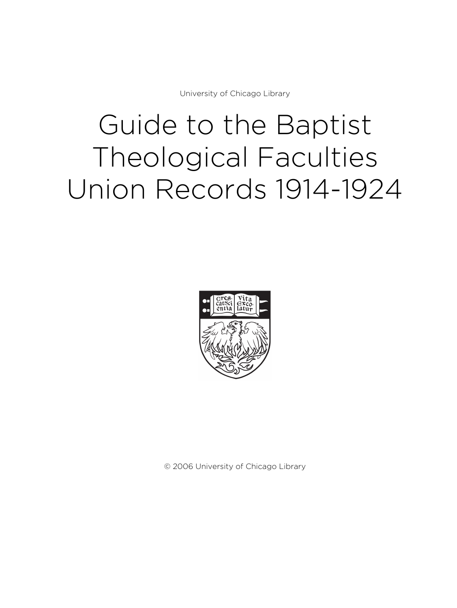University of Chicago Library

# Guide to the Baptist Theological Faculties Union Records 1914-1924



© 2006 University of Chicago Library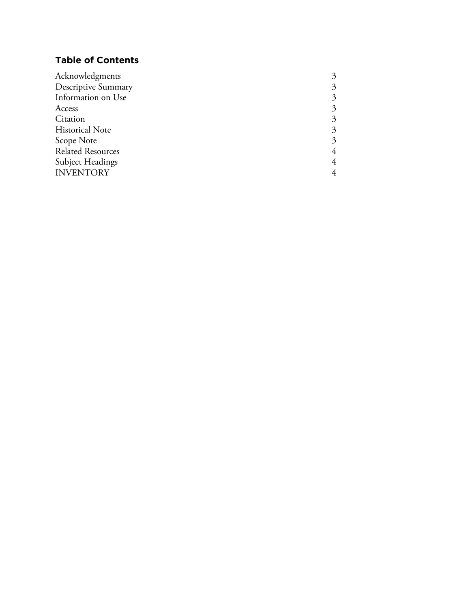# **Table of Contents**

| 3 |
|---|
| 3 |
| 3 |
| 3 |
| 3 |
| 3 |
| 3 |
| 4 |
| 4 |
| 4 |
|   |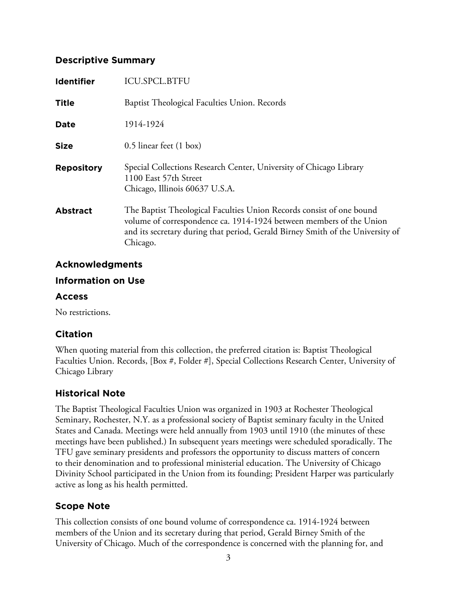#### **Descriptive Summary**

| <b>Identifier</b> | <b>ICU.SPCL.BTFU</b>                                                                                                                                                                                                                      |
|-------------------|-------------------------------------------------------------------------------------------------------------------------------------------------------------------------------------------------------------------------------------------|
| Title             | Baptist Theological Faculties Union. Records                                                                                                                                                                                              |
| <b>Date</b>       | 1914-1924                                                                                                                                                                                                                                 |
| <b>Size</b>       | 0.5 linear feet (1 box)                                                                                                                                                                                                                   |
| <b>Repository</b> | Special Collections Research Center, University of Chicago Library<br>1100 East 57th Street<br>Chicago, Illinois 60637 U.S.A.                                                                                                             |
| <b>Abstract</b>   | The Baptist Theological Faculties Union Records consist of one bound<br>volume of correspondence ca. 1914-1924 between members of the Union<br>and its secretary during that period, Gerald Birney Smith of the University of<br>Chicago. |

#### **Acknowledgments**

#### **Information on Use**

#### **Access**

No restrictions.

## **Citation**

When quoting material from this collection, the preferred citation is: Baptist Theological Faculties Union. Records, [Box #, Folder #], Special Collections Research Center, University of Chicago Library

## **Historical Note**

The Baptist Theological Faculties Union was organized in 1903 at Rochester Theological Seminary, Rochester, N.Y. as a professional society of Baptist seminary faculty in the United States and Canada. Meetings were held annually from 1903 until 1910 (the minutes of these meetings have been published.) In subsequent years meetings were scheduled sporadically. The TFU gave seminary presidents and professors the opportunity to discuss matters of concern to their denomination and to professional ministerial education. The University of Chicago Divinity School participated in the Union from its founding; President Harper was particularly active as long as his health permitted.

# **Scope Note**

This collection consists of one bound volume of correspondence ca. 1914-1924 between members of the Union and its secretary during that period, Gerald Birney Smith of the University of Chicago. Much of the correspondence is concerned with the planning for, and